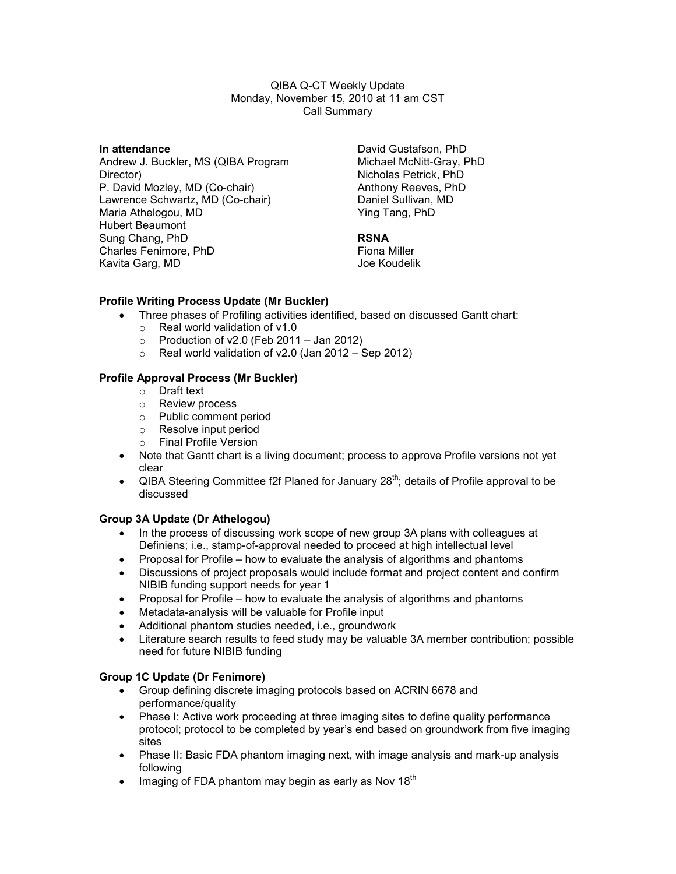#### QIBA Q-CT Weekly Update Monday, November 15, 2010 at 11 am CST Call Summary

#### In attendance

Andrew J. Buckler, MS (QIBA Program Director) P. David Mozley, MD (Co-chair) Lawrence Schwartz, MD (Co-chair) Maria Athelogou, MD Hubert Beaumont Sung Chang, PhD Charles Fenimore, PhD Kavita Garg, MD

David Gustafson, PhD Michael McNitt-Gray, PhD Nicholas Petrick, PhD Anthony Reeves, PhD Daniel Sullivan, MD Ying Tang, PhD

# RSNA

Fiona Miller Joe Koudelik

# Profile Writing Process Update (Mr Buckler)

- Three phases of Profiling activities identified, based on discussed Gantt chart:
	- $\circ$  Real world validation of v1.0
	- $\circ$  Production of v2.0 (Feb 2011 Jan 2012)
	- $\circ$  Real world validation of v2.0 (Jan 2012 Sep 2012)

# Profile Approval Process (Mr Buckler)

- o Draft text
- o Review process
- o Public comment period
- o Resolve input period
- o Final Profile Version
- Note that Gantt chart is a living document; process to approve Profile versions not yet clear
- QIBA Steering Committee f2f Planed for January  $28^{th}$ ; details of Profile approval to be discussed

## Group 3A Update (Dr Athelogou)

- In the process of discussing work scope of new group 3A plans with colleagues at Definiens; i.e., stamp-of-approval needed to proceed at high intellectual level
- Proposal for Profile how to evaluate the analysis of algorithms and phantoms
- Discussions of project proposals would include format and project content and confirm NIBIB funding support needs for year 1
- Proposal for Profile how to evaluate the analysis of algorithms and phantoms
- Metadata-analysis will be valuable for Profile input
- Additional phantom studies needed, i.e., groundwork
- Literature search results to feed study may be valuable 3A member contribution; possible need for future NIBIB funding

## Group 1C Update (Dr Fenimore)

- Group defining discrete imaging protocols based on ACRIN 6678 and performance/quality
- Phase I: Active work proceeding at three imaging sites to define quality performance protocol; protocol to be completed by year's end based on groundwork from five imaging sites
- Phase II: Basic FDA phantom imaging next, with image analysis and mark-up analysis following
- Imaging of FDA phantom may begin as early as Nov 18<sup>th</sup>